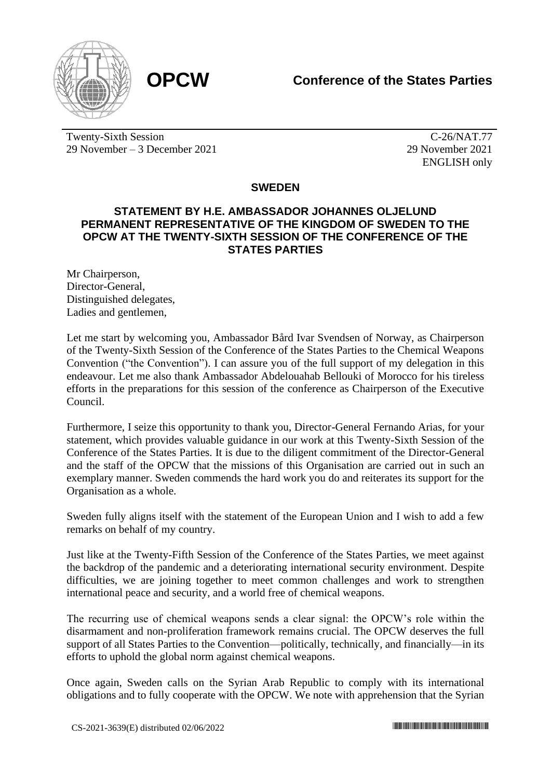

Twenty-Sixth Session 29 November – 3 December 2021

C-26/NAT.77 29 November 2021 ENGLISH only

## **SWEDEN**

## **STATEMENT BY H.E. AMBASSADOR JOHANNES OLJELUND PERMANENT REPRESENTATIVE OF THE KINGDOM OF SWEDEN TO THE OPCW AT THE TWENTY-SIXTH SESSION OF THE CONFERENCE OF THE STATES PARTIES**

Mr Chairperson, Director-General, Distinguished delegates, Ladies and gentlemen,

Let me start by welcoming you, Ambassador Bård Ivar Svendsen of Norway, as Chairperson of the Twenty-Sixth Session of the Conference of the States Parties to the Chemical Weapons Convention ("the Convention"). I can assure you of the full support of my delegation in this endeavour. Let me also thank Ambassador Abdelouahab Bellouki of Morocco for his tireless efforts in the preparations for this session of the conference as Chairperson of the Executive Council.

Furthermore, I seize this opportunity to thank you, Director-General Fernando Arias, for your statement, which provides valuable guidance in our work at this Twenty-Sixth Session of the Conference of the States Parties. It is due to the diligent commitment of the Director-General and the staff of the OPCW that the missions of this Organisation are carried out in such an exemplary manner. Sweden commends the hard work you do and reiterates its support for the Organisation as a whole.

Sweden fully aligns itself with the statement of the European Union and I wish to add a few remarks on behalf of my country.

Just like at the Twenty-Fifth Session of the Conference of the States Parties, we meet against the backdrop of the pandemic and a deteriorating international security environment. Despite difficulties, we are joining together to meet common challenges and work to strengthen international peace and security, and a world free of chemical weapons.

The recurring use of chemical weapons sends a clear signal: the OPCW's role within the disarmament and non-proliferation framework remains crucial. The OPCW deserves the full support of all States Parties to the Convention—politically, technically, and financially—in its efforts to uphold the global norm against chemical weapons.

Once again, Sweden calls on the Syrian Arab Republic to comply with its international obligations and to fully cooperate with the OPCW. We note with apprehension that the Syrian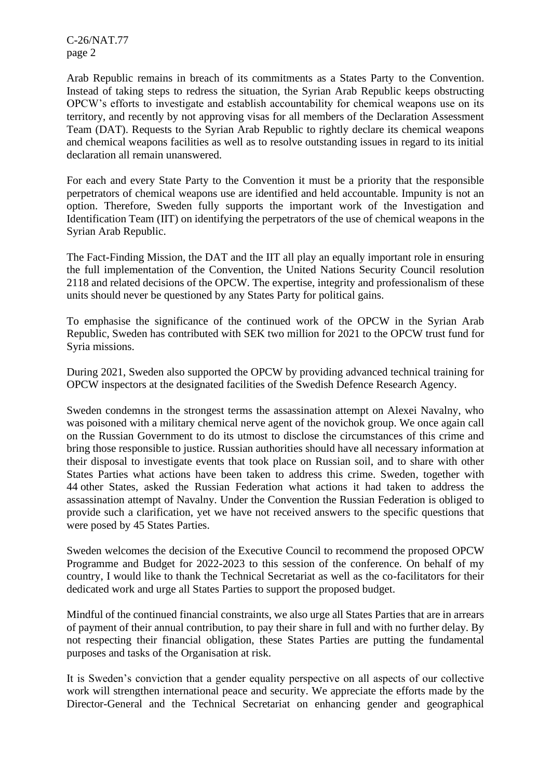C-26/NAT.77 page 2

Arab Republic remains in breach of its commitments as a States Party to the Convention. Instead of taking steps to redress the situation, the Syrian Arab Republic keeps obstructing OPCW's efforts to investigate and establish accountability for chemical weapons use on its territory, and recently by not approving visas for all members of the Declaration Assessment Team (DAT). Requests to the Syrian Arab Republic to rightly declare its chemical weapons and chemical weapons facilities as well as to resolve outstanding issues in regard to its initial declaration all remain unanswered.

For each and every State Party to the Convention it must be a priority that the responsible perpetrators of chemical weapons use are identified and held accountable. Impunity is not an option. Therefore, Sweden fully supports the important work of the Investigation and Identification Team (IIT) on identifying the perpetrators of the use of chemical weapons in the Syrian Arab Republic.

The Fact-Finding Mission, the DAT and the IIT all play an equally important role in ensuring the full implementation of the Convention, the United Nations Security Council resolution 2118 and related decisions of the OPCW. The expertise, integrity and professionalism of these units should never be questioned by any States Party for political gains.

To emphasise the significance of the continued work of the OPCW in the Syrian Arab Republic, Sweden has contributed with SEK two million for 2021 to the OPCW trust fund for Syria missions.

During 2021, Sweden also supported the OPCW by providing advanced technical training for OPCW inspectors at the designated facilities of the Swedish Defence Research Agency.

Sweden condemns in the strongest terms the assassination attempt on Alexei Navalny, who was poisoned with a military chemical nerve agent of the novichok group. We once again call on the Russian Government to do its utmost to disclose the circumstances of this crime and bring those responsible to justice. Russian authorities should have all necessary information at their disposal to investigate events that took place on Russian soil, and to share with other States Parties what actions have been taken to address this crime. Sweden, together with 44 other States, asked the Russian Federation what actions it had taken to address the assassination attempt of Navalny. Under the Convention the Russian Federation is obliged to provide such a clarification, yet we have not received answers to the specific questions that were posed by 45 States Parties.

Sweden welcomes the decision of the Executive Council to recommend the proposed OPCW Programme and Budget for 2022-2023 to this session of the conference. On behalf of my country, I would like to thank the Technical Secretariat as well as the co-facilitators for their dedicated work and urge all States Parties to support the proposed budget.

Mindful of the continued financial constraints, we also urge all States Parties that are in arrears of payment of their annual contribution, to pay their share in full and with no further delay. By not respecting their financial obligation, these States Parties are putting the fundamental purposes and tasks of the Organisation at risk.

It is Sweden's conviction that a gender equality perspective on all aspects of our collective work will strengthen international peace and security. We appreciate the efforts made by the Director-General and the Technical Secretariat on enhancing gender and geographical